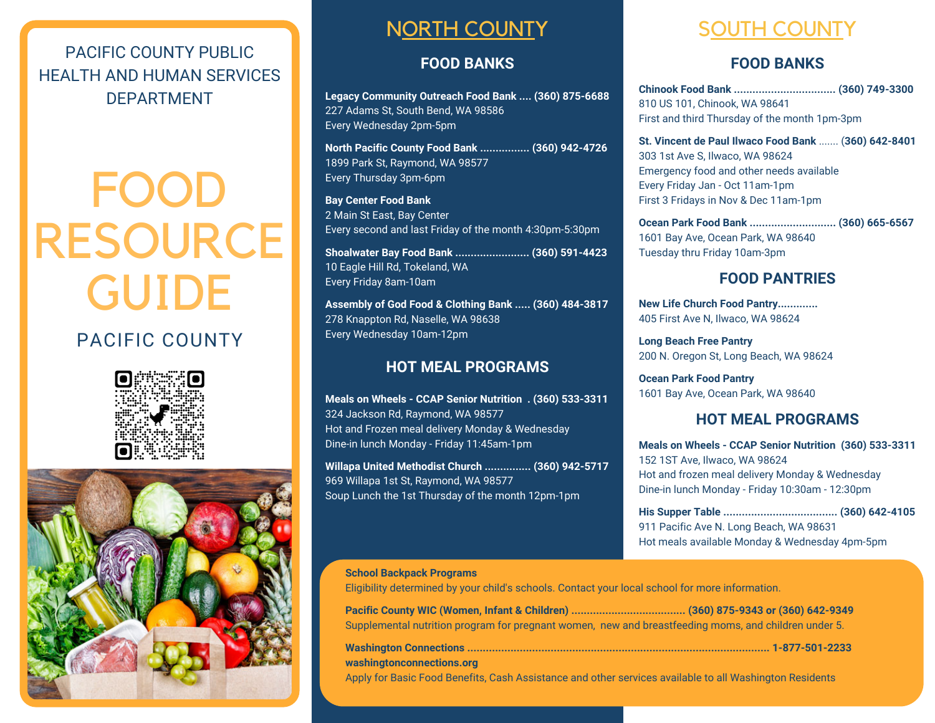PACIFIC COUNTY PUBLIC HEALTH AND HUMAN SERVICES DEPARTMENT

# FOOD RESOURCE GUIDE

## PACIFIC COUNTY





# NORTH COUNTY SOUTH COUNTY

### **FOOD BANKS**

**Legacy Community Outreach Food Bank .... (360) 875-6688** 227 Adams St, South Bend, WA 98586 Every Wednesday 2pm-5pm

**North Pacific County Food Bank ................ (360) 942-4726** 1899 Park St, Raymond, WA 98577 Every Thursday 3pm-6pm

**Bay Center Food Bank** 2 Main St East, Bay Center Every second and last Friday of the month 4:30pm-5:30pm

**Shoalwater Bay Food Bank ........................ (360) 591-4423** 10 Eagle Hill Rd, Tokeland, WA Every Friday 8am-10am

**Assembly of God Food & Clothing Bank ..... (360) 484-3817** 278 Knappton Rd, Naselle, WA 98638 Every Wednesday 10am-12pm

### **HOT MEAL PROGRAMS**

**Meals on Wheels - CCAP Senior Nutrition . (360) 533-3311** 324 Jackson Rd, Raymond, WA 98577 Hot and Frozen meal delivery Monday & Wednesday Dine-in lunch Monday - Friday 11:45am-1pm

**Willapa United Methodist Church ............... (360) 942-5717** 969 Willapa 1st St, Raymond, WA 98577 Soup Lunch the 1st Thursday of the month 12pm-1pm

### **FOOD BANKS**

**Chinook Food Bank ................................. (360) 749-3300** 810 US 101, Chinook, WA 98641 First and third Thursday of the month 1pm-3pm

**St. Vincent de Paul Ilwaco Food Bank** ....... (**360) 642-8401** 303 1st Ave S, Ilwaco, WA 98624 Emergency food and other needs available Every Friday Jan - Oct 11am-1pm First 3 Fridays in Nov & Dec 11am-1pm

**Ocean Park Food Bank ............................ (360) 665-6567** 1601 Bay Ave, Ocean Park, WA 98640 Tuesday thru Friday 10am-3pm

### **FOOD PANTRIES**

**New Life Church Food Pantry.............** 405 First Ave N, Ilwaco, WA 98624

**Long Beach Free Pantry** 200 N. Oregon St, Long Beach, WA 98624

**Ocean Park Food Pantry** 1601 Bay Ave, Ocean Park, WA 98640

### **HOT MEAL PROGRAMS**

**Meals on Wheels - CCAP Senior Nutrition (360) 533-3311** 152 1ST Ave, Ilwaco, WA 98624 Hot and frozen meal delivery Monday & Wednesday Dine-in lunch Monday - Friday 10:30am - 12:30pm

**His Supper Table ..................................... (360) 642-4105** 911 Pacific Ave N. Long Beach, WA 98631 Hot meals available Monday & Wednesday 4pm-5pm

### **School Backpack Programs** Eligibility determined by your child's schools. Contact your local school for more information. **Pacific County WIC (Women, Infant & Children) ..................................... (360) 875-9343 or (360) 642-9349**

Supplemental nutrition program for pregnant women, new and breastfeeding moms, and children under 5.

**Washington Connections .................................................................................................. 1-877-501-2233 washingtonconnections.org** Apply for Basic Food Benefits, Cash Assistance and other services available to all Washington Residents